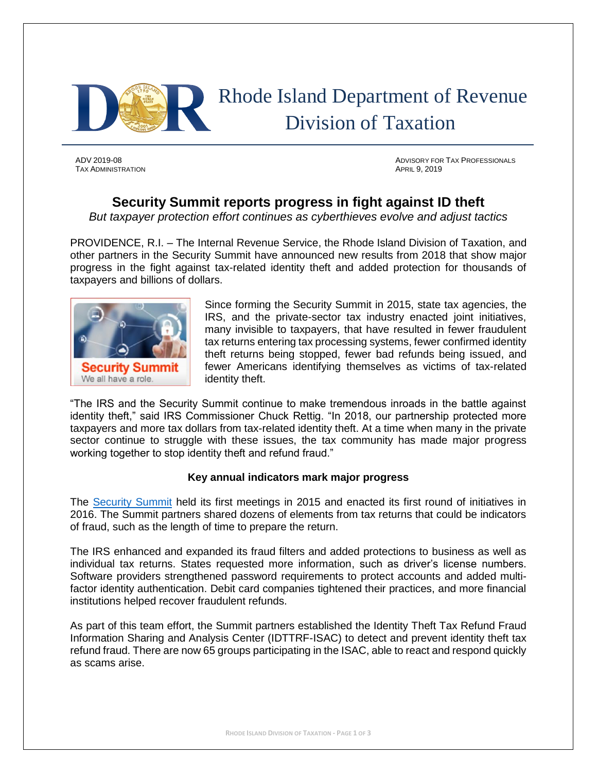

TAX ADMINISTRATION APRIL 9, 2019

ADV 2019-08 ADVISORY FOR TAX PROFESSIONALS

## **Security Summit reports progress in fight against ID theft**

*But taxpayer protection effort continues as cyberthieves evolve and adjust tactics*

PROVIDENCE, R.I. – The Internal Revenue Service, the Rhode Island Division of Taxation, and other partners in the Security Summit have announced new results from 2018 that show major progress in the fight against tax-related identity theft and added protection for thousands of taxpayers and billions of dollars.



Since forming the Security Summit in 2015, state tax agencies, the IRS, and the private-sector tax industry enacted joint initiatives, many invisible to taxpayers, that have resulted in fewer fraudulent tax returns entering tax processing systems, fewer confirmed identity theft returns being stopped, fewer bad refunds being issued, and fewer Americans identifying themselves as victims of tax-related identity theft.

"The IRS and the Security Summit continue to make tremendous inroads in the battle against identity theft," said IRS Commissioner Chuck Rettig. "In 2018, our partnership protected more taxpayers and more tax dollars from tax-related identity theft. At a time when many in the private sector continue to struggle with these issues, the tax community has made major progress working together to stop identity theft and refund fraud."

## **Key annual indicators mark major progress**

The [Security Summit](https://www.irs.gov/newsroom/security-summit) held its first meetings in 2015 and enacted its first round of initiatives in 2016. The Summit partners shared dozens of elements from tax returns that could be indicators of fraud, such as the length of time to prepare the return.

The IRS enhanced and expanded its fraud filters and added protections to business as well as individual tax returns. States requested more information, such as driver's license numbers. Software providers strengthened password requirements to protect accounts and added multifactor identity authentication. Debit card companies tightened their practices, and more financial institutions helped recover fraudulent refunds.

As part of this team effort, the Summit partners established the Identity Theft Tax Refund Fraud Information Sharing and Analysis Center (IDTTRF-ISAC) to detect and prevent identity theft tax refund fraud. There are now 65 groups participating in the ISAC, able to react and respond quickly as scams arise.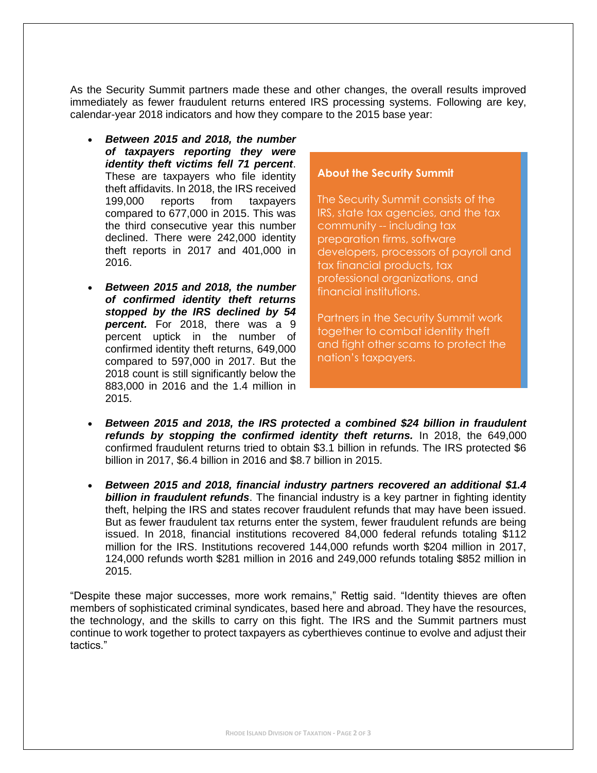As the Security Summit partners made these and other changes, the overall results improved immediately as fewer fraudulent returns entered IRS processing systems. Following are key, calendar-year 2018 indicators and how they compare to the 2015 base year:

- *Between 2015 and 2018, the number of taxpayers reporting they were identity theft victims fell 71 percent*. These are taxpayers who file identity theft affidavits. In 2018, the IRS received 199,000 reports from taxpayers compared to 677,000 in 2015. This was the third consecutive year this number declined. There were 242,000 identity theft reports in 2017 and 401,000 in 2016.
- *Between 2015 and 2018, the number of confirmed identity theft returns stopped by the IRS declined by 54 percent.* For 2018, there was a 9 percent uptick in the number of confirmed identity theft returns, 649,000 compared to 597,000 in 2017. But the 2018 count is still significantly below the 883,000 in 2016 and the 1.4 million in 2015.

## **About the Security Summit**

The Security Summit consists of the IRS, state tax agencies, and the tax community -- including tax preparation firms, software developers, processors of payroll and tax financial products, tax professional organizations, and financial institutions.

Partners in the Security Summit work together to combat identity theft and fight other scams to protect the nation's taxpayers.

- *Between 2015 and 2018, the IRS protected a combined \$24 billion in fraudulent refunds by stopping the confirmed identity theft returns.* In 2018, the 649,000 confirmed fraudulent returns tried to obtain \$3.1 billion in refunds. The IRS protected \$6 billion in 2017, \$6.4 billion in 2016 and \$8.7 billion in 2015.
- *Between 2015 and 2018, financial industry partners recovered an additional \$1.4 billion in fraudulent refunds*. The financial industry is a key partner in fighting identity theft, helping the IRS and states recover fraudulent refunds that may have been issued. But as fewer fraudulent tax returns enter the system, fewer fraudulent refunds are being issued. In 2018, financial institutions recovered 84,000 federal refunds totaling \$112 million for the IRS. Institutions recovered 144,000 refunds worth \$204 million in 2017, 124,000 refunds worth \$281 million in 2016 and 249,000 refunds totaling \$852 million in 2015.

"Despite these major successes, more work remains," Rettig said. "Identity thieves are often members of sophisticated criminal syndicates, based here and abroad. They have the resources, the technology, and the skills to carry on this fight. The IRS and the Summit partners must continue to work together to protect taxpayers as cyberthieves continue to evolve and adjust their tactics."